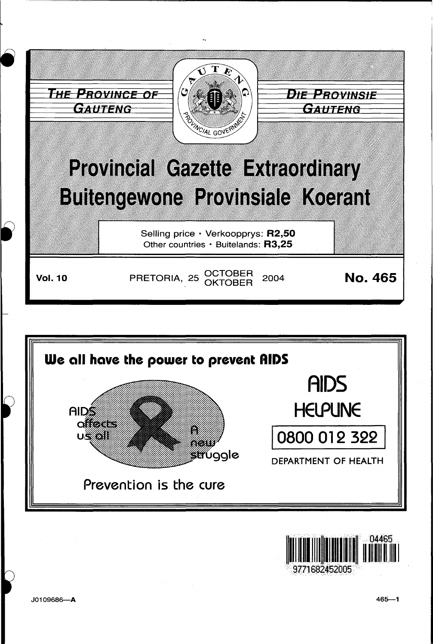





J0109686-A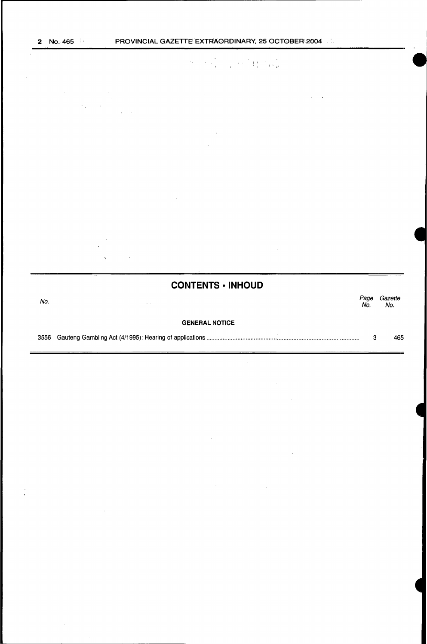# $\label{eq:2.1} \mathcal{H}=\mathcal{H}^{\frac{1}{2}}\left(\frac{1}{\sqrt{2}}\right)^{1/2}\left(\frac{1}{\sqrt{2}}\right)^{1/2}\left(\frac{1}{\sqrt{2}}\right)^{1/2}\left(\frac{1}{\sqrt{2}}\right)^{1/2}$

у.

# **CONTENTS • INHOUD**  No.<br>No. Page Gazette Page Gazet.<br>No. No. GENERAL NOTICE 3556 Gauteng Gambling Act (4/1995): Hearing of applications ............................................................................................ . 3 465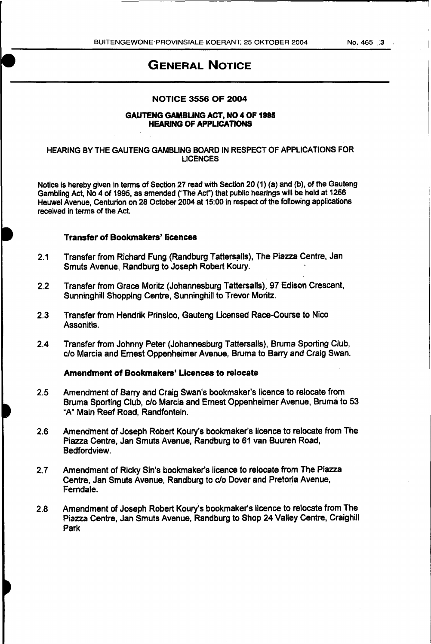# GENERAL NOTICE

# NOTICE 3556 OF 2004

#### GAUTENG GAMBUNG ACT, NO 4 OF 1995 HEARING OF APPUCATIONS

## HEARING BY THE GAUTENG GAMBLING BOARD IN RESPECT OF APPLICATIONS FOR LICENCES

Notice is hereby given in terms of Section 27 read with Section 20 (1) (a) and (b), of the Gauteng Gambling Act, No 4 of 1995, as amended ("The Act") that public hearings will be held at 1256 Heuwel Avenue, Centurion on 28 October 2004 at 15:00 in respect of the following applications received in terms of the Act.

#### Transfer of Bookmakers' licences

- 2.1 Transfer from Richard Fung (Randburg Tattersalls), The Piazza Centre, Jan Smuts Avenue, Randburg to Joseph Robert Koury.
- 2.2 Transfer from Grace Moritz (Johannesburg Tattersalls), 97 Edison Crescent, Sunninghill Shopping Centre, Sunninghill to Trevor Moritz.
- 2.3 Transfer from Hendrik Prinsloo, Gauteng Licensed Race-Course to Nico Assonitis.
- 2.4 Transfer from Johnny Peter (Johannesburg Tattersalls), Bruma Sporting Club, c/o Marcia and Ernest Oppenheimer Avenue, Bruma to Barry and Craig Swan.

# Amendment of Bookmakers' Licences to relocate

- 2.5 Amendment of Barry and Craig Swan's bookmaker's licence to relocate from Bruma Sporting Club, c/o Marcia and Ernest Oppenheimer Avenue, Bruma to 53 "A" Main Reef Road, Randfontein.
- 2.6 Amendment of Joseph Robert Koury's bookmaker's licence to relocate from The Piazza Centre, Jan Smuts Avenue, Randburg to 61 van Buuren Road, Bedfordview.
- 2.7 Amendment of Ricky Sin's bookmaker's licence to relocate from The Piazza Centre, Jan Smuts Avenue, Randburg to c/o Dover and Pretoria Avenue, Ferndale.
- 2.8 Amendment of Joseph Robert Koury's bookmaker's licence to relocate from The Piazza Centre, Jan Smuts Avenue, Randburg to Shop 24 Valley Centre, Craighill Park